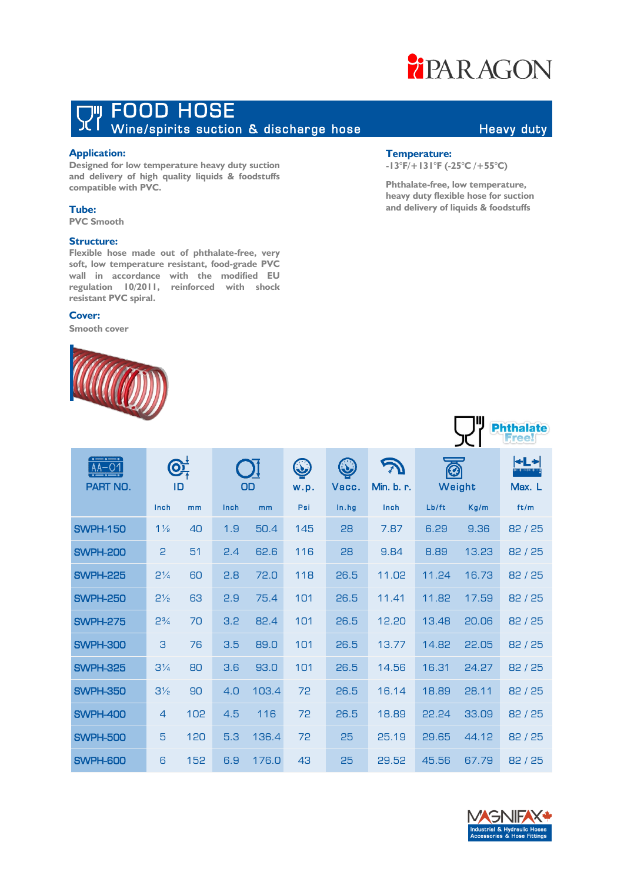### **FIPAR AGON**

## THE FOOD HOSE<br>The Wine/spirits suction & discharge hose Theavy duty

### **Application:**

**Designed for low temperature heavy duty suction and delivery of high quality liquids & foodstuffs compatible with PVC.**

### **Tube:**

**PVC Smooth**

### **Structure:**

**Flexible hose made out of phthalate-free, very soft, low temperature resistant, food-grade PVC wall in accordance with the modified EU regulation 10/2011, reinforced with shock resistant PVC spiral.**

### **Cover:**

**Smooth cover**



### **Temperature:**

**-13°F/+131°F (-25°C /+55°C)** 

**Phthalate-free, low temperature, heavy duty flexible hose for suction and delivery of liquids & foodstuffs** 

| $\bullet - \bullet - \bullet$<br>PART NO. | OT<br>ID       |     |      | OD    | $\bf Q$<br>w.p. | $\bigcirc$<br>Vacc. | Min. b. r. | Ø     | Weight | $\leftarrow$ $\rightarrow$<br>Max. L |
|-------------------------------------------|----------------|-----|------|-------|-----------------|---------------------|------------|-------|--------|--------------------------------------|
|                                           | Inch           | mm  | Inch | mm    | Psi             | In.hq               | Inch       | Lb/ft | Kg/m   | ft/m                                 |
| <b>SWPH-150</b>                           | $1\frac{1}{2}$ | 40  | 1.9  | 50.4  | 145             | 28                  | 7.87       | 6.29  | 9.36   | 82/25                                |
| <b>SWPH-200</b>                           | $\mathsf{P}$   | 51  | 2.4  | 62.6  | 116             | 28                  | 9.84       | 8.89  | 13.23  | 82/25                                |
| <b>SWPH-225</b>                           | $2\frac{1}{4}$ | 60  | 2.8  | 72.0  | 118             | 26.5                | 11.02      | 11.24 | 16.73  | 82/25                                |
| <b>SWPH-250</b>                           | $2\frac{1}{2}$ | 63  | 2.9  | 75.4  | 101             | 26.5                | 11.41      | 11.82 | 17.59  | 82/25                                |
| <b>SWPH-275</b>                           | $2\frac{3}{4}$ | 70  | 3.2  | 82.4  | 101             | 26.5                | 12.20      | 13.48 | 20.06  | 82/25                                |
| <b>SWPH-300</b>                           | 3              | 76  | 3.5  | 89.0  | 101             | 26.5                | 13.77      | 14.82 | 22.05  | 82/25                                |
| <b>SWPH-325</b>                           | $3\frac{1}{4}$ | 80  | 3.6  | 93.0  | 101             | 26.5                | 14.56      | 16.31 | 24.27  | 82/25                                |
| <b>SWPH-350</b>                           | $3\frac{1}{2}$ | 90  | 4.0  | 103.4 | 72              | 26.5                | 16.14      | 18.89 | 28.11  | 82/25                                |
| <b>SWPH-400</b>                           | $\overline{4}$ | 102 | 4.5  | 116   | 72              | 26.5                | 18.89      | 22.24 | 33.09  | 82/25                                |
| <b>SWPH-500</b>                           | 5              | 120 | 5.3  | 136.4 | 72              | 25                  | 25.19      | 29.65 | 44.12  | 82/25                                |
| <b>SWPH-600</b>                           | 6              | 152 | 6.9  | 176.0 | 43              | 25                  | 29.52      | 45.56 | 67.79  | 82/25                                |



**Phthalate**